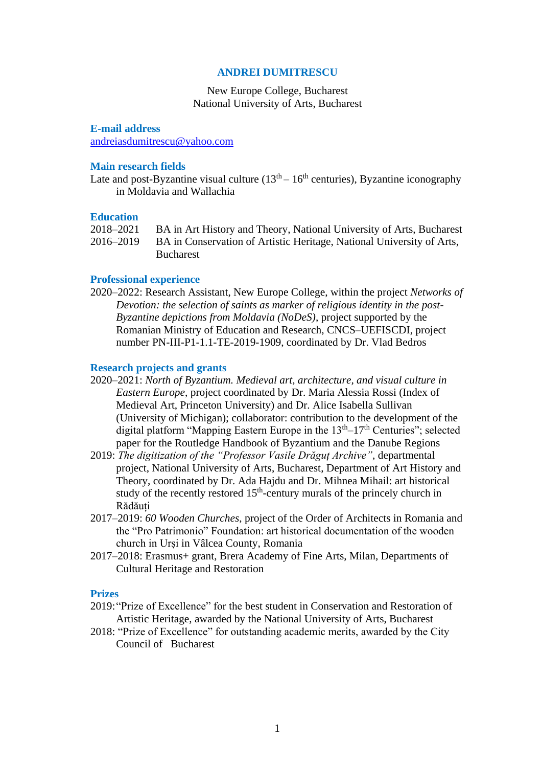## **ANDREI DUMITRESCU**

# New Europe College, Bucharest National University of Arts, Bucharest

**E-mail address** [andreiasdumitrescu@yahoo.com](mailto:andreiasdumitrescu@yahoo.com)

#### **Main research fields**

Late and post-Byzantine visual culture  $(13<sup>th</sup> - 16<sup>th</sup>$  centuries), Byzantine iconography in Moldavia and Wallachia

## **Education**

|           | 2018–2021 BA in Art History and Theory, National University of Arts, Bucharest |
|-----------|--------------------------------------------------------------------------------|
| 2016–2019 | BA in Conservation of Artistic Heritage, National University of Arts,          |
|           | <b>Bucharest</b>                                                               |

#### **Professional experience**

2020–2022: Research Assistant, New Europe College, within the project *Networks of Devotion: the selection of saints as marker of religious identity in the post-Byzantine depictions from Moldavia (NoDeS)*, project supported by the Romanian Ministry of Education and Research, CNCS–UEFISCDI, project number PN-III-P1-1.1-TE-2019-1909, coordinated by Dr. Vlad Bedros

#### **Research projects and grants**

- 2020–2021: *North of Byzantium. Medieval art, architecture, and visual culture in Eastern Europe*, project coordinated by Dr. Maria Alessia Rossi (Index of Medieval Art, Princeton University) and Dr. Alice Isabella Sullivan (University of Michigan); collaborator: contribution to the development of the digital platform "Mapping Eastern Europe in the  $13<sup>th</sup>-17<sup>th</sup>$  Centuries"; selected paper for the Routledge Handbook of Byzantium and the Danube Regions
- 2019: *The digitization of the "Professor Vasile Drăguț Archive"*, departmental project, National University of Arts, Bucharest, Department of Art History and Theory, coordinated by Dr. Ada Hajdu and Dr. Mihnea Mihail: art historical study of the recently restored 15<sup>th</sup>-century murals of the princely church in Rădăuți
- 2017–2019: *60 Wooden Churches*, project of the Order of Architects in Romania and the "Pro Patrimonio" Foundation: art historical documentation of the wooden church in Urși in Vâlcea County, Romania
- 2017–2018: Erasmus+ grant, Brera Academy of Fine Arts, Milan, Departments of Cultural Heritage and Restoration

## **Prizes**

- 2019:"Prize of Excellence" for the best student in Conservation and Restoration of Artistic Heritage, awarded by the National University of Arts, Bucharest
- 2018: "Prize of Excellence" for outstanding academic merits, awarded by the City Council of Bucharest